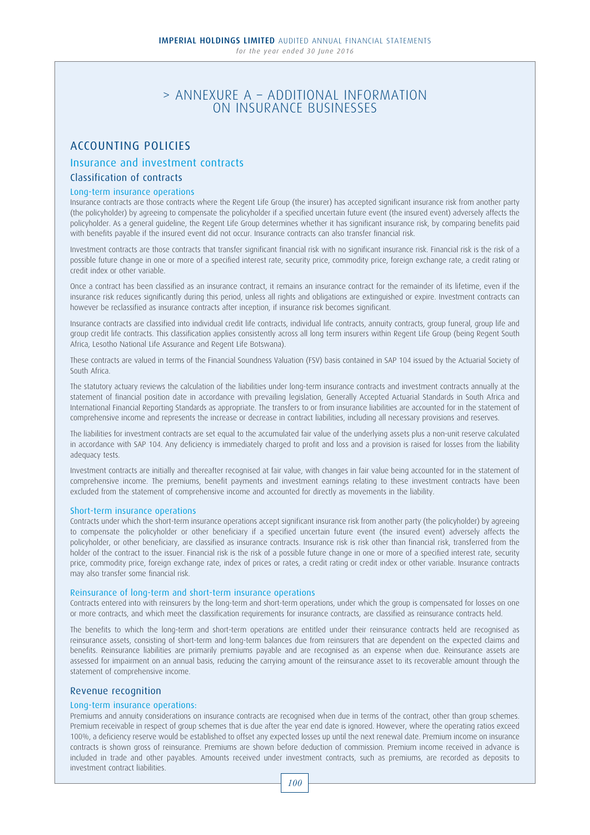# > ANNEXURE A – ADDITIONAL INFORMATION ON INSURANCE BUSINESSES

# ACCOUNTING POLICIES

## Insurance and investment contracts

## Classification of contracts

## Long-term insurance operations

Insurance contracts are those contracts where the Regent Life Group (the insurer) has accepted significant insurance risk from another party (the policyholder) by agreeing to compensate the policyholder if a specified uncertain future event (the insured event) adversely affects the policyholder. As a general guideline, the Regent Life Group determines whether it has significant insurance risk, by comparing benefits paid with benefits payable if the insured event did not occur. Insurance contracts can also transfer financial risk.

Investment contracts are those contracts that transfer significant financial risk with no significant insurance risk. Financial risk is the risk of a possible future change in one or more of a specified interest rate, security price, commodity price, foreign exchange rate, a credit rating or credit index or other variable.

Once a contract has been classified as an insurance contract, it remains an insurance contract for the remainder of its lifetime, even if the insurance risk reduces significantly during this period, unless all rights and obligations are extinguished or expire. Investment contracts can however be reclassified as insurance contracts after inception, if insurance risk becomes significant.

Insurance contracts are classified into individual credit life contracts, individual life contracts, annuity contracts, group funeral, group life and group credit life contracts. This classification applies consistently across all long term insurers within Regent Life Group (being Regent South Africa, Lesotho National Life Assurance and Regent Life Botswana).

These contracts are valued in terms of the Financial Soundness Valuation (FSV) basis contained in SAP 104 issued by the Actuarial Society of South Africa.

The statutory actuary reviews the calculation of the liabilities under long-term insurance contracts and investment contracts annually at the statement of financial position date in accordance with prevailing legislation, Generally Accepted Actuarial Standards in South Africa and International Financial Reporting Standards as appropriate. The transfers to or from insurance liabilities are accounted for in the statement of comprehensive income and represents the increase or decrease in contract liabilities, including all necessary provisions and reserves.

The liabilities for investment contracts are set equal to the accumulated fair value of the underlying assets plus a non-unit reserve calculated in accordance with SAP 104. Any deficiency is immediately charged to profit and loss and a provision is raised for losses from the liability adequacy tests.

Investment contracts are initially and thereafter recognised at fair value, with changes in fair value being accounted for in the statement of comprehensive income. The premiums, benefit payments and investment earnings relating to these investment contracts have been excluded from the statement of comprehensive income and accounted for directly as movements in the liability.

## Short-term insurance operations

Contracts under which the short-term insurance operations accept significant insurance risk from another party (the policyholder) by agreeing to compensate the policyholder or other beneficiary if a specified uncertain future event (the insured event) adversely affects the policyholder, or other beneficiary, are classified as insurance contracts. Insurance risk is risk other than financial risk, transferred from the holder of the contract to the issuer. Financial risk is the risk of a possible future change in one or more of a specified interest rate, security price, commodity price, foreign exchange rate, index of prices or rates, a credit rating or credit index or other variable. Insurance contracts may also transfer some financial risk.

## Reinsurance of long-term and short-term insurance operations

Contracts entered into with reinsurers by the long-term and short-term operations, under which the group is compensated for losses on one or more contracts, and which meet the classification requirements for insurance contracts, are classified as reinsurance contracts held.

The benefits to which the long-term and short-term operations are entitled under their reinsurance contracts held are recognised as reinsurance assets, consisting of short-term and long-term balances due from reinsurers that are dependent on the expected claims and benefits. Reinsurance liabilities are primarily premiums payable and are recognised as an expense when due. Reinsurance assets are assessed for impairment on an annual basis, reducing the carrying amount of the reinsurance asset to its recoverable amount through the statement of comprehensive income.

## Revenue recognition

## Long-term insurance operations:

Premiums and annuity considerations on insurance contracts are recognised when due in terms of the contract, other than group schemes. Premium receivable in respect of group schemes that is due after the year end date is ignored. However, where the operating ratios exceed 100%, a deficiency reserve would be established to offset any expected losses up until the next renewal date. Premium income on insurance contracts is shown gross of reinsurance. Premiums are shown before deduction of commission. Premium income received in advance is included in trade and other payables. Amounts received under investment contracts, such as premiums, are recorded as deposits to investment contract liabilities.